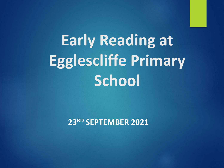# **Early Reading at Egglescliffe Primary School**

**23RD SEPTEMBER 2021**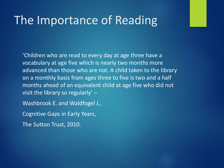#### The Importance of Reading

'Children who are read to every day at age three have a vocabulary at age five which is nearly two months more advanced than those who are not. A child taken to the library on a monthly basis from ages three to five is two and a half months ahead of an equivalent child at age five who did not visit the library so regularly' –

Washbrook E. and Waldfogel J.,

Cognitive Gaps in Early Years,

The Sutton Trust, 2010.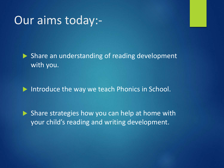#### Our aims today:-

 $\blacktriangleright$  Share an understanding of reading development with you.

 $\blacktriangleright$  Introduce the way we teach Phonics in School.

 $\triangleright$  Share strategies how you can help at home with your child's reading and writing development.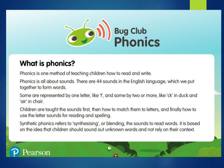

#### **What is phonics?**

Phonics is one method of teaching children how to read and write.

Phonics is all about sounds. There are 44 sounds in the English language, which we put together to form words.

Some are represented by one letter, like 't', and some by two or more, like 'ck' in duck and 'air' in chair.

Children are taught the sounds first, then how to match them to letters, and finally how to use the letter sounds for reading and spelling.

Synthetic phonics refers to 'synthesising', or blending, the sounds to read words. It is based on the idea that children should sound out unknown words and not rely on their context.

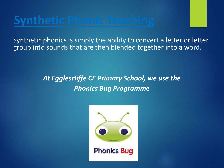## **Synthetic Phonic Teaching**

Synthetic phonics is simply the ability to convert a letter or letter group into sounds that are then blended together into a word.

#### *At Egglescliffe CE Primary School, we use the Phonics Bug Programme*

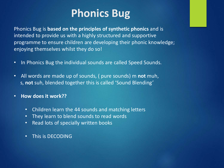#### **Phonics Bug**

Phonics Bug is **based on the principles of synthetic phonics** and is intended to provide us with a highly structured and supportive programme to ensure children are developing their phonic knowledge; enjoying themselves whilst they do so!

- In Phonics Bug the individual sounds are called Speed Sounds.
- All words are made up of sounds, ( pure sounds) m **not** muh, s, **not** suh, blended together this is called 'Sound Blending'
- **How does it work??**
	- Children learn the 44 sounds and matching letters
	- They learn to blend sounds to read words
	- Read lots of specially written books
	- This is DECODING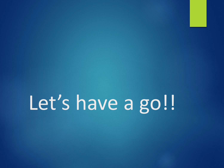Let's have a go!!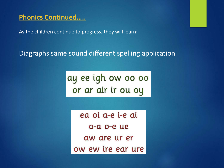#### **Phonics Continued…..**

As the children continue to progress, they will learn:-

#### Diagraphs same sound different spelling application

ay ee igh ow oo oo or ar air ir ou oy

ea oi a-e i-e ai o-a o-e ue aw are ur er ow ew ire ear ure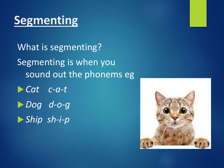# **Segmenting**

What is segmenting? Segmenting is when you sound out the phonems eg u *Cat c-a-t* **Dog** *d-o-g* u *Ship sh-i-p*

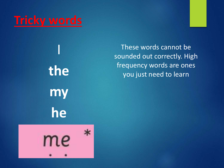

I

**the** 

**my**

**he**

These words cannot be sounded out correctly. High frequency words are ones you just need to learn

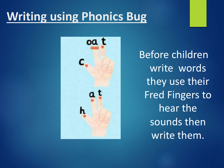# **Writing using Phonics Bug**



Before children write words they use their Fred Fingers to hear the sounds then write them.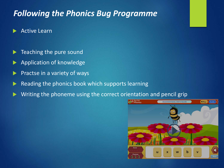#### *Following the Phonics Bug Programme*

- **Active Learn**
- Teaching the pure sound
- Application of knowledge
- Practse in a variety of ways
- Reading the phonics book which supports learning
- Writing the phoneme using the correct orientation and pencil grip

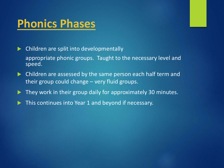#### **Phonics Phases**

 $\blacktriangleright$  Children are split into developmentally appropriate phonic groups. Taught to the necessary level and speed.

- $\blacktriangleright$  Children are assessed by the same person each half term and their group could change – very fluid groups.
- $\blacktriangleright$  They work in their group daily for approximately 30 minutes.
- This continues into Year 1 and beyond if necessary.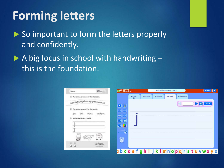# **Forming letters**

 $\triangleright$  So important to form the letters properly and confidently.

 $\triangleright$  A big focus in school with handwriting – this is the foundation.

| Nome:                                                                                                                                                            | <b>SYRIA</b><br>Photography (1) | <b>Phonics</b>                                                                                                                                                                           |             |         | Unit 6 Phoneme /j/: Lesson |         |           |                | Guide)<br>$\mathbf{X}$ |
|------------------------------------------------------------------------------------------------------------------------------------------------------------------|---------------------------------|------------------------------------------------------------------------------------------------------------------------------------------------------------------------------------------|-------------|---------|----------------------------|---------|-----------|----------------|------------------------|
| 3. Put a ring around j in the alphabet.<br>abcdefghijkimnopqrstuvwxuz<br>Put a ring around j in the words.<br>jot<br>iob<br>Write the letters   and I.<br>$\sim$ | jackpot<br>inject               | $\overline{\mathbf{G}}$<br>$\overline{\phantom{a}}$<br>$\lceil \alpha \alpha \rceil$<br>dad<br>war<br><b>HO</b><br>$\left( \blacksquare \right)$<br>Aa<br>$\bm{\sigma}$<br>$\mathscr{L}$ | Sounds<br>函 | Reading | Spelling                   | Writing | Follow-up | $\bullet$<br>⋗ | Show                   |
|                                                                                                                                                                  |                                 | $\bullet$<br>S.<br>I b c                                                                                                                                                                 |             | ghijk   |                            | lmnopqr |           |                | VZ.                    |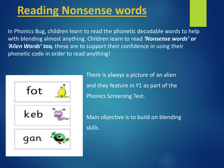#### **Reading Nonsense words**

In Phonics Bug, children learn to read the phonetic decodable words to help with blending almost anything. Children learn to read *'Nonsense words' or 'Alien Words' too,* these are to support their confidence in using their phonetic code in order to read anything!



There is always a picture of an alien and they feature in Y1 as part of the Phonics Screening Test.

Main objective is to build on blending skills.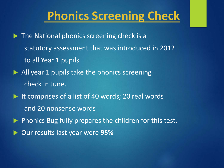# **Phonics Screening Check**

- $\blacktriangleright$  The National phonics screening check is a statutory assessment that was introduced in 2012 to all Year 1 pupils.
- $\blacktriangleright$  All year 1 pupils take the phonics screening check in June.
- $\blacktriangleright$  It comprises of a list of 40 words; 20 real words and 20 nonsense words
- **Phonics Bug fully prepares the children for this test.**
- **Dur results last year were 95%**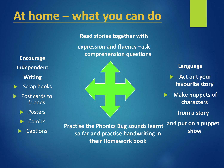# **At home – what you can do**

**Read stories together with**

**expression and fluency –ask comprehension questions**

**Encourage Independent Writing**

- $\blacktriangleright$  Scrap books
- Post cards to friends
	- Posters

**Comics** 

**Captions** 

**Practise the Phonics Bug sounds learnt so far and practise handwriting in their Homework book**

**Language**

**Act out your favourite story**

**Make puppets of characters**

**from a story**

**and put on a puppet show**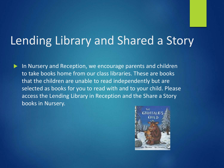# Lending Library and Shared a Story

 $\blacktriangleright$  In Nursery and Reception, we encourage parents and children to take books home from our class libraries. These are books that the children are unable to read independently but are selected as books for you to read with and to your child. Please access the Lending Library in Reception and the Share a Story books in Nursery.

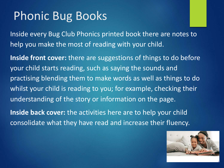### Phonic Bug Books

Inside every Bug Club Phonics printed book there are notes to help you make the most of reading with your child.

**Inside front cover:** there are suggestions of things to do before your child starts reading, such as saying the sounds and practising blending them to make words as well as things to do whilst your child is reading to you; for example, checking their understanding of the story or information on the page.

**Inside back cover:** the activities here are to help your child consolidate what they have read and increase their fluency.

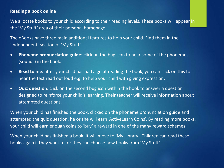#### **Reading a book online**

We allocate books to your child according to their reading levels. These books will appear in the 'My Stuff' area of their personal homepage.

The eBooks have three main additional features to help your child. Find them in the 'Independent' section of 'My Stuff'.

- **Phoneme pronunciation guide:** click on the bug icon to hear some of the phonemes (sounds) in the book.
- **Read to me:** after your child has had a go at reading the book, you can click on this to hear the text read out loud e.g. to help your child with giving expression.
- **Quiz question:** click on the second bug icon within the book to answer a question designed to reinforce your child's learning. Their teacher will receive information about attempted questions.

When your child has finished the book, clicked on the phoneme pronunciation guide and attempted the quiz question, he or she will earn 'ActiveLearn Coins'. By reading more books, your child will earn enough coins to 'buy' a reward in one of the many reward schemes.

When your child has finished a book, it will move to 'My Library'. Children can read these books again if they want to, or they can choose new books from 'My Stuff'.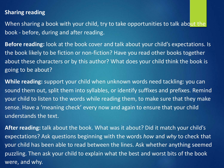#### **Sharing reading**

When sharing a book with your child, try to take opportunities to talk about the book - before, during and after reading.

**Before reading:** look at the book cover and talk about your child's expectations. Is the book likely to be fiction or non-fiction? Have you read other books together about these characters or by this author? What does your child think the book is going to be about?

**While reading:** support your child when unknown words need tackling: you can sound them out, split them into syllables, or identify suffixes and prefixes. Remind your child to listen to the words while reading them, to make sure that they make sense. Have a 'meaning check' every now and again to ensure that your child understands the text.

**After reading:** talk about the book. What was it about? Did it match your child's expectations? Ask questions beginning with the words *how* and *why* to check that your child has been able to read between the lines. Ask whether anything seemed puzzling. Then ask your child to explain what the best and worst bits of the book were, and why.